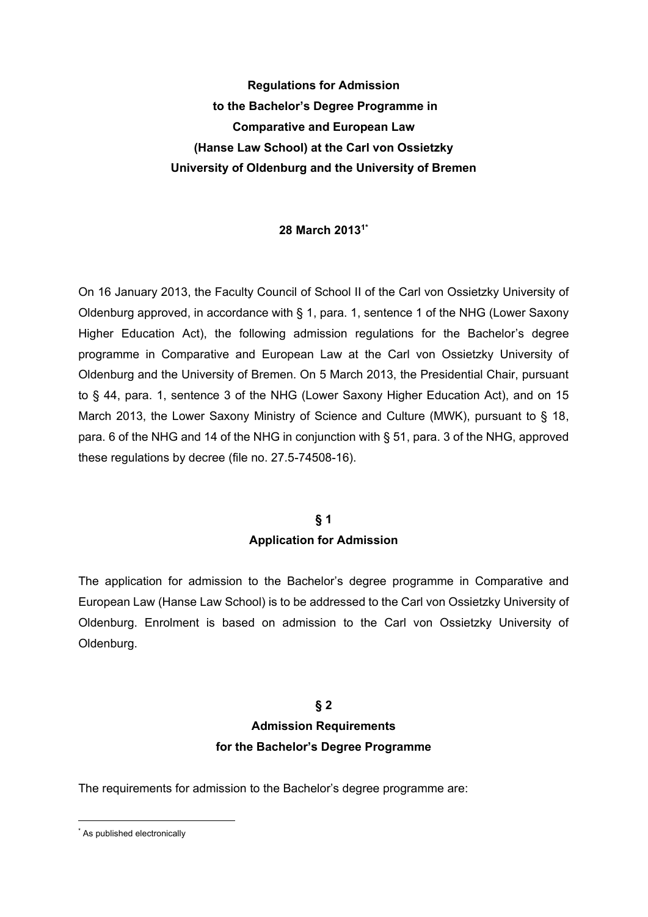# **Regulations for Admission to the Bachelor's Degree Programme in Comparative and European Law (Hanse Law School) at the Carl von Ossietzky University of Oldenburg and the University of Bremen**

#### **28 March 20131\***

On 16 January 2013, the Faculty Council of School II of the Carl von Ossietzky University of Oldenburg approved, in accordance with § 1, para. 1, sentence 1 of the NHG (Lower Saxony Higher Education Act), the following admission regulations for the Bachelor's degree programme in Comparative and European Law at the Carl von Ossietzky University of Oldenburg and the University of Bremen. On 5 March 2013, the Presidential Chair, pursuant to § 44, para. 1, sentence 3 of the NHG (Lower Saxony Higher Education Act), and on 15 March 2013, the Lower Saxony Ministry of Science and Culture (MWK), pursuant to § 18, para. 6 of the NHG and 14 of the NHG in conjunction with § 51, para. 3 of the NHG, approved these regulations by decree (file no. 27.5-74508-16).

### **§ 1 Application for Admission**

The application for admission to the Bachelor's degree programme in Comparative and European Law (Hanse Law School) is to be addressed to the Carl von Ossietzky University of Oldenburg. Enrolment is based on admission to the Carl von Ossietzky University of Oldenburg.

## **§ 2 Admission Requirements for the Bachelor's Degree Programme**

The requirements for admission to the Bachelor's degree programme are:

1

<sup>\*</sup> As published electronically